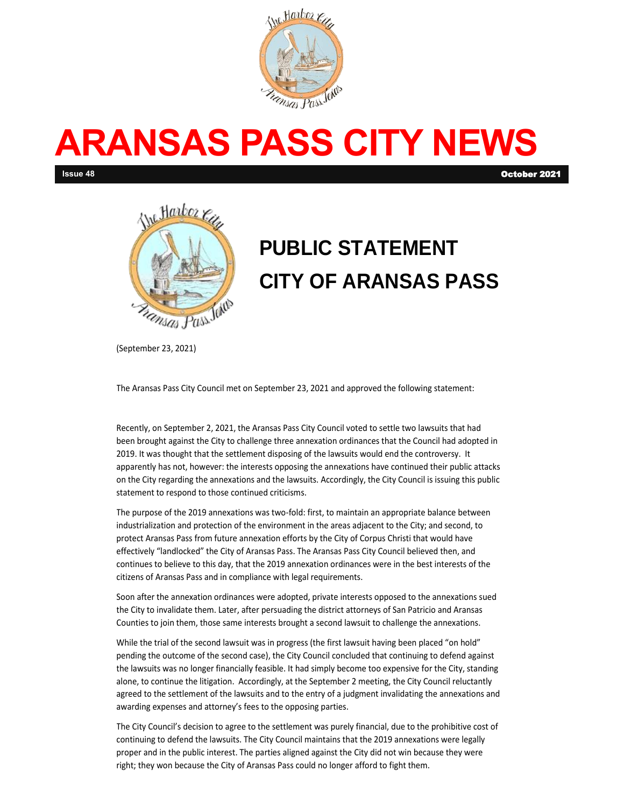

# **ARANSAS PASS CITY NEWS**

**Issue 48** October 2021



## **PUBLIC STATEMENT CITY OF ARANSAS PASS**

(September 23, 2021)

The Aransas Pass City Council met on September 23, 2021 and approved the following statement:

Recently, on September 2, 2021, the Aransas Pass City Council voted to settle two lawsuits that had been brought against the City to challenge three annexation ordinances that the Council had adopted in 2019. It was thought that the settlement disposing of the lawsuits would end the controversy. It apparently has not, however: the interests opposing the annexations have continued their public attacks on the City regarding the annexations and the lawsuits. Accordingly, the City Council is issuing this public statement to respond to those continued criticisms.

The purpose of the 2019 annexations was two-fold: first, to maintain an appropriate balance between industrialization and protection of the environment in the areas adjacent to the City; and second, to protect Aransas Pass from future annexation efforts by the City of Corpus Christi that would have effectively "landlocked" the City of Aransas Pass. The Aransas Pass City Council believed then, and continues to believe to this day, that the 2019 annexation ordinances were in the best interests of the citizens of Aransas Pass and in compliance with legal requirements.

Soon after the annexation ordinances were adopted, private interests opposed to the annexations sued the City to invalidate them. Later, after persuading the district attorneys of San Patricio and Aransas Counties to join them, those same interests brought a second lawsuit to challenge the annexations.

While the trial of the second lawsuit was in progress (the first lawsuit having been placed "on hold" pending the outcome of the second case), the City Council concluded that continuing to defend against the lawsuits was no longer financially feasible. It had simply become too expensive for the City, standing alone, to continue the litigation. Accordingly, at the September 2 meeting, the City Council reluctantly agreed to the settlement of the lawsuits and to the entry of a judgment invalidating the annexations and awarding expenses and attorney's fees to the opposing parties.

The City Council's decision to agree to the settlement was purely financial, due to the prohibitive cost of continuing to defend the lawsuits. The City Council maintains that the 2019 annexations were legally proper and in the public interest. The parties aligned against the City did not win because they were right; they won because the City of Aransas Pass could no longer afford to fight them.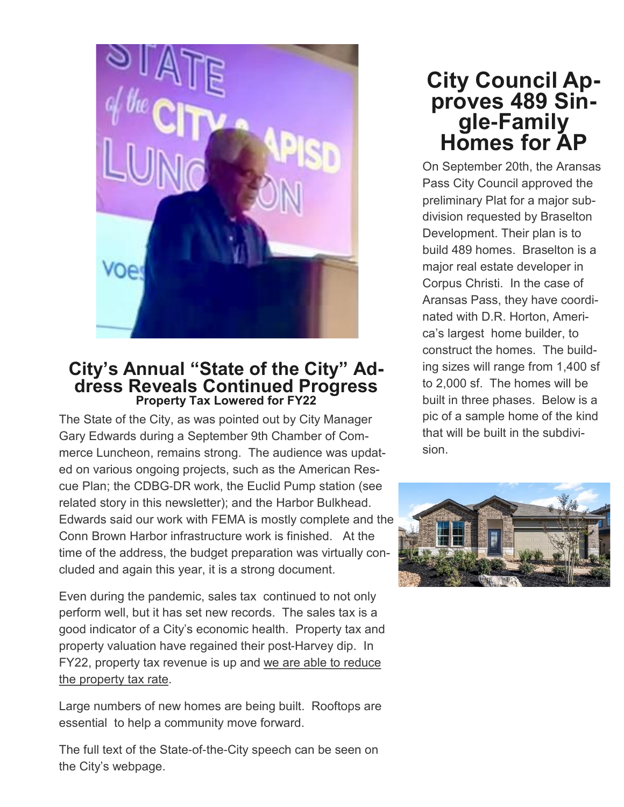

#### **City's Annual "State of the City" Address Reveals Continued Progress Property Tax Lowered for FY22**

The State of the City, as was pointed out by City Manager Gary Edwards during a September 9th Chamber of Commerce Luncheon, remains strong. The audience was updated on various ongoing projects, such as the American Rescue Plan; the CDBG-DR work, the Euclid Pump station (see related story in this newsletter); and the Harbor Bulkhead. Edwards said our work with FEMA is mostly complete and the Conn Brown Harbor infrastructure work is finished. At the time of the address, the budget preparation was virtually concluded and again this year, it is a strong document.

Even during the pandemic, sales tax continued to not only perform well, but it has set new records. The sales tax is a good indicator of a City's economic health. Property tax and property valuation have regained their post-Harvey dip. In FY22, property tax revenue is up and we are able to reduce the property tax rate.

Large numbers of new homes are being built. Rooftops are essential to help a community move forward.

The full text of the State-of-the-City speech can be seen on the City's webpage.

## **City Council Approves 489 Single-Family Homes for AP**

On September 20th, the Aransas Pass City Council approved the preliminary Plat for a major subdivision requested by Braselton Development. Their plan is to build 489 homes. Braselton is a major real estate developer in Corpus Christi. In the case of Aransas Pass, they have coordinated with D.R. Horton, America's largest home builder, to construct the homes. The building sizes will range from 1,400 sf to 2,000 sf. The homes will be built in three phases. Below is a pic of a sample home of the kind that will be built in the subdivision.

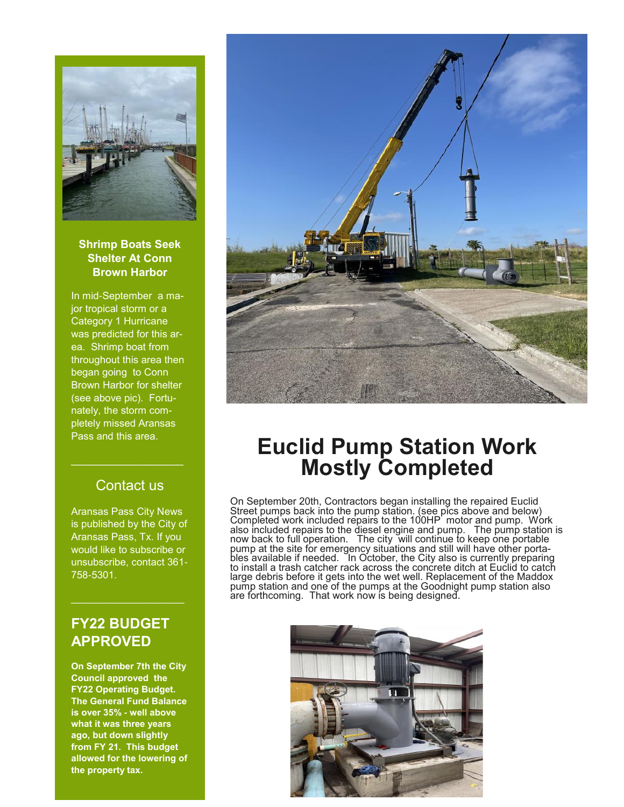

#### **Shrimp Boats Seek Shelter At Conn Brown Harbor**

In mid-September a major tropical storm or a Category 1 Hurricane was predicted for this area. Shrimp boat from throughout this area then began going to Conn Brown Harbor for shelter (see above pic). Fortunately, the storm completely missed Aransas Pass and this area.

#### Contact us

 $\mathcal{L}_\text{max}$  , where  $\mathcal{L}_\text{max}$ 

Aransas Pass City News is published by the City of Aransas Pass, Tx. If you would like to subscribe or unsubscribe, contact 361- 758-5301.

#### **FY22 BUDGET APPROVED**

 $\mathcal{L}_\text{max}$  , where  $\mathcal{L}_\text{max}$  , we have the set of  $\mathcal{L}_\text{max}$ 

**On September 7th the City Council approved the FY22 Operating Budget. The General Fund Balance is over 35% - well above what it was three years ago, but down slightly from FY 21. This budget allowed for the lowering of the property tax.**



## **Euclid Pump Station Work Mostly Completed**

On September 20th, Contractors began installing the repaired Euclid Street pumps back into the pump station. (see pics above and below) Completed work included repairs to the 100HP motor and pump. Work also included repairs to the diesel engine and pump. The pump station is now back to full operation. The city will continue to keep one portable pump at the site for emergency situations and still will have other portables available if needed. In October, the City also is currently preparing to install a trash catcher rack across the concrete ditch at Euclid to catch large debris before it gets into the wet well. Replacement of the Maddox pump station and one of the pumps at the Goodnight pump station also are forthcoming. That work now is being designed.